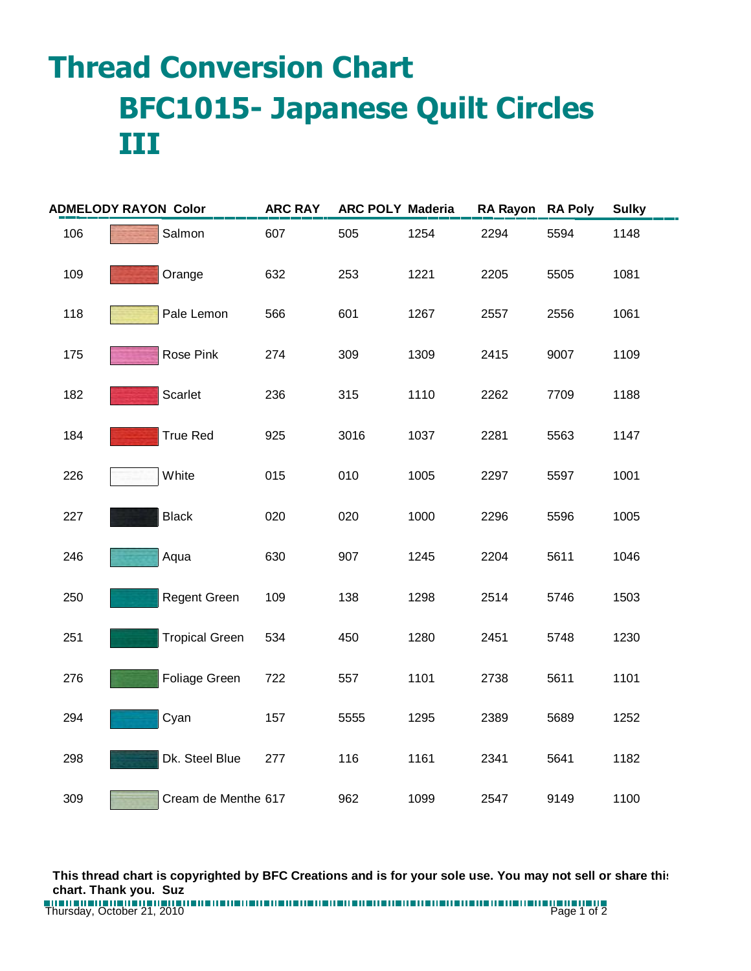## **Thread Conversion Chart BFC1015- Japanese Quilt Circles III**

| <b>ADMELODY RAYON Color</b> |                       | <b>ARC RAY</b> | <b>ARC POLY Maderia</b> |      | RA Rayon RA Poly |      | <b>Sulky</b> |
|-----------------------------|-----------------------|----------------|-------------------------|------|------------------|------|--------------|
| 106                         | Salmon                | 607            | 505                     | 1254 | 2294             | 5594 | 1148         |
| 109                         | Orange                | 632            | 253                     | 1221 | 2205             | 5505 | 1081         |
| 118                         | Pale Lemon            | 566            | 601                     | 1267 | 2557             | 2556 | 1061         |
| 175                         | Rose Pink             | 274            | 309                     | 1309 | 2415             | 9007 | 1109         |
| 182                         | Scarlet               | 236            | 315                     | 1110 | 2262             | 7709 | 1188         |
| 184                         | <b>True Red</b>       | 925            | 3016                    | 1037 | 2281             | 5563 | 1147         |
| 226                         | White                 | 015            | 010                     | 1005 | 2297             | 5597 | 1001         |
| 227                         | <b>Black</b>          | 020            | 020                     | 1000 | 2296             | 5596 | 1005         |
| 246                         | Aqua                  | 630            | 907                     | 1245 | 2204             | 5611 | 1046         |
| 250                         | Regent Green          | 109            | 138                     | 1298 | 2514             | 5746 | 1503         |
| 251                         | <b>Tropical Green</b> | 534            | 450                     | 1280 | 2451             | 5748 | 1230         |
| 276                         | Foliage Green         | 722            | 557                     | 1101 | 2738             | 5611 | 1101         |
| 294                         | Cyan                  | 157            | 5555                    | 1295 | 2389             | 5689 | 1252         |
| 298                         | Dk. Steel Blue        | 277            | 116                     | 1161 | 2341             | 5641 | 1182         |
| 309                         | Cream de Menthe 617   |                | 962                     | 1099 | 2547             | 9149 | 1100         |

**This thread chart is copyrighted by BFC Creations and is for your sole use. You may not sell or share this chart. Thank you. Suz**